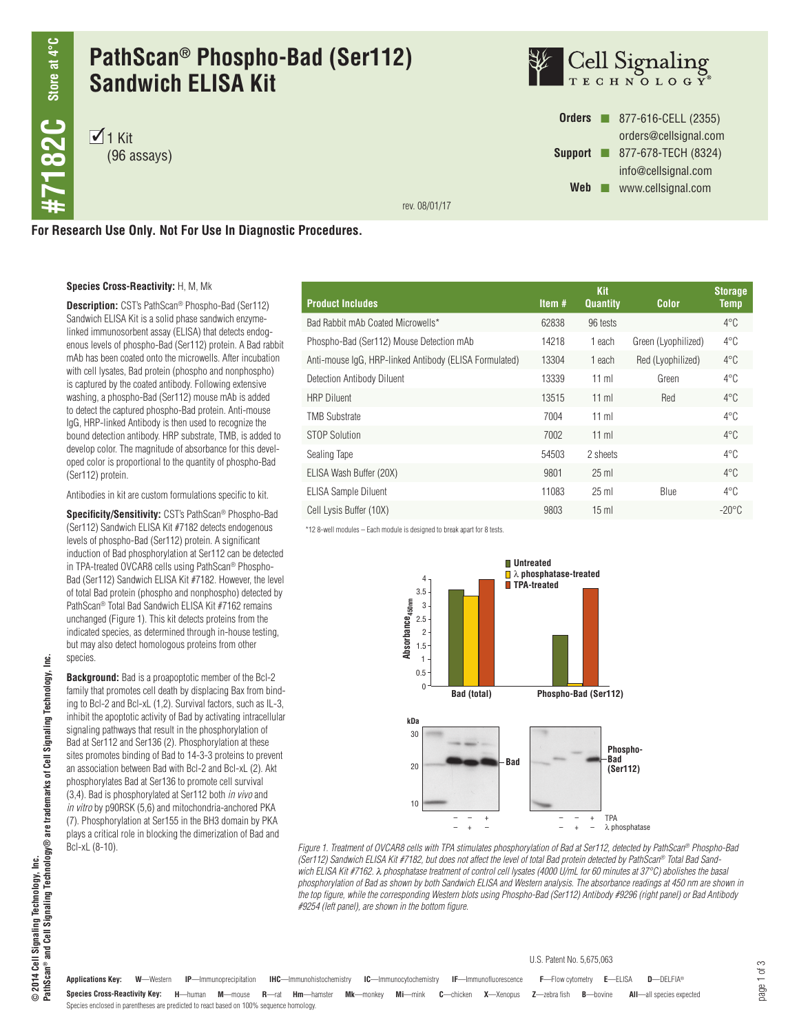## **PathScan® Phospho-Bad (Ser112) Sandwich ELISA Kit**

 $\overline{1}$  1 Kit (96 assays)



**Orders n** 877-616-CELL (2355) orders@cellsignal.com **Support n** 877-678-TECH (8324) info@cellsignal.com Web **www.cellsignal.com** 

rev. 08/01/17

**For Research Use Only. Not For Use In Diagnostic Procedures.**

#### **Species Cross-Reactivity:** H, M, Mk

**Description:** CST's PathScan® Phospho-Bad (Ser112) Sandwich ELISA Kit is a solid phase sandwich enzymelinked immunosorbent assay (ELISA) that detects endogenous levels of phospho-Bad (Ser112) protein. A Bad rabbit mAb has been coated onto the microwells. After incubation with cell lysates, Bad protein (phospho and nonphospho) is captured by the coated antibody. Following extensive washing, a phospho-Bad (Ser112) mouse mAb is added to detect the captured phospho-Bad protein. Anti-mouse IgG, HRP-linked Antibody is then used to recognize the bound detection antibody. HRP substrate, TMB, is added to develop color. The magnitude of absorbance for this developed color is proportional to the quantity of phospho-Bad (Ser112) protein.

Antibodies in kit are custom formulations specific to kit.

**Specificity/Sensitivity:** CST's PathScan® Phospho-Bad (Ser112) Sandwich ELISA Kit #7182 detects endogenous levels of phospho-Bad (Ser112) protein. A significant induction of Bad phosphorylation at Ser112 can be detected in TPA-treated OVCAR8 cells using PathScan® Phospho-Bad (Ser112) Sandwich ELISA Kit #7182. However, the level of total Bad protein (phospho and nonphospho) detected by PathScan® Total Bad Sandwich ELISA Kit #7162 remains unchanged (Figure 1). This kit detects proteins from the indicated species, as determined through in-house testing, but may also detect homologous proteins from other species.

**Background:** Bad is a proapoptotic member of the Bcl-2 family that promotes cell death by displacing Bax from binding to Bcl-2 and Bcl-xL (1,2). Survival factors, such as IL-3, inhibit the apoptotic activity of Bad by activating intracellular signaling pathways that result in the phosphorylation of Bad at Ser112 and Ser136 (2). Phosphorylation at these sites promotes binding of Bad to 14-3-3 proteins to prevent an association between Bad with Bcl-2 and Bcl-xL (2). Akt phosphorylates Bad at Ser136 to promote cell survival (3,4). Bad is phosphorylated at Ser112 both *in vivo* and *in vitro* by p90RSK (5,6) and mitochondria-anchored PKA (7). Phosphorylation at Ser155 in the BH3 domain by PKA plays a critical role in blocking the dimerization of Bad and Bcl-xL (8-10).

| <b>Product Includes</b>                                | Item $#$ | <b>Kit</b><br><b>Quantity</b> | <b>Color</b>        | <b>Storage</b><br><b>Temp</b> |
|--------------------------------------------------------|----------|-------------------------------|---------------------|-------------------------------|
| Bad Rabbit mAb Coated Microwells*                      | 62838    | 96 tests                      |                     | $4^{\circ}$ C                 |
| Phospho-Bad (Ser112) Mouse Detection mAb               | 14218    | 1 each                        | Green (Lyophilized) | $4^{\circ}$ C                 |
| Anti-mouse IgG, HRP-linked Antibody (ELISA Formulated) | 13304    | 1 each                        | Red (Lyophilized)   | $4^{\circ}$ C                 |
| Detection Antibody Diluent                             | 13339    | $11$ ml                       | Green               | $4^{\circ}$ C                 |
| <b>HRP Diluent</b>                                     | 13515    | $11$ ml                       | Red                 | $4^{\circ}$ C                 |
| <b>TMB Substrate</b>                                   | 7004     | $11$ ml                       |                     | $4^{\circ}$ C                 |
| STOP Solution                                          | 7002     | $11$ ml                       |                     | $4^{\circ}$ C                 |
| Sealing Tape                                           | 54503    | 2 sheets                      |                     | $4^{\circ}$ C                 |
| ELISA Wash Buffer (20X)                                | 9801     | $25$ ml                       |                     | $4^{\circ}$ C                 |
| <b>ELISA Sample Diluent</b>                            | 11083    | $25$ ml                       | <b>Blue</b>         | $4^{\circ}$ C                 |
| Cell Lysis Buffer (10X)                                | 9803     | $15 \text{ ml}$               |                     | $-20^{\circ}$ C               |

\*12 8-well modules – Each module is designed to break apart for 8 tests.



*Figure 1. Treatment of OVCAR8 cells with TPA stimulates phosphorylation of Bad at Ser112, detected by PathScan® Phospho-Bad (Ser112) Sandwich ELISA Kit #7182, but does not affect the level of total Bad protein detected by PathScan® Total Bad Sandwich ELISA Kit #7162.* l *phosphatase treatment of control cell lysates (4000 U/mL for 60 minutes at 37°C) abolishes the basal phosphorylation of Bad as shown by both Sandwich ELISA and Western analysis. The absorbance readings at 450 nm are shown in the top figure, while the corresponding Western blots using Phospho-Bad (Ser112) Antibody #9296 (right panel) or Bad Antibody #9254 (left panel), are shown in the bottom figure.*

# <u>ie</u> **PathScan® and Cell Signaling Technology® are trademarks of Cell Signaling Technology, Inc.** © 2014 Cell Signaling Technology, Inc.<br>PathScan® and Cell Signaling Technology® are trademarks of Cell Signaling Technology, **© 2014 Cell Signaling Technology, Inc.**

Species Cross-Reactivity Key: H-human M-mouse R-rat Hm-hamster Mk-monkey Mi-mink C-chicken X-Xenopus Z-zebra fish B-bovine All-all species expected **Applications Key: W**—Western **IP**—Immunoprecipitation **IHC**—Immunohistochemistry **IC**—Immunocytochemistry **IF**—Immunofluorescence **F**—Flow cytometry **E**—ELISA **D**—DELFIA® Species enclosed in parentheses are predicted to react based on 100% sequence homology. U.S. Patent No. 5,675,063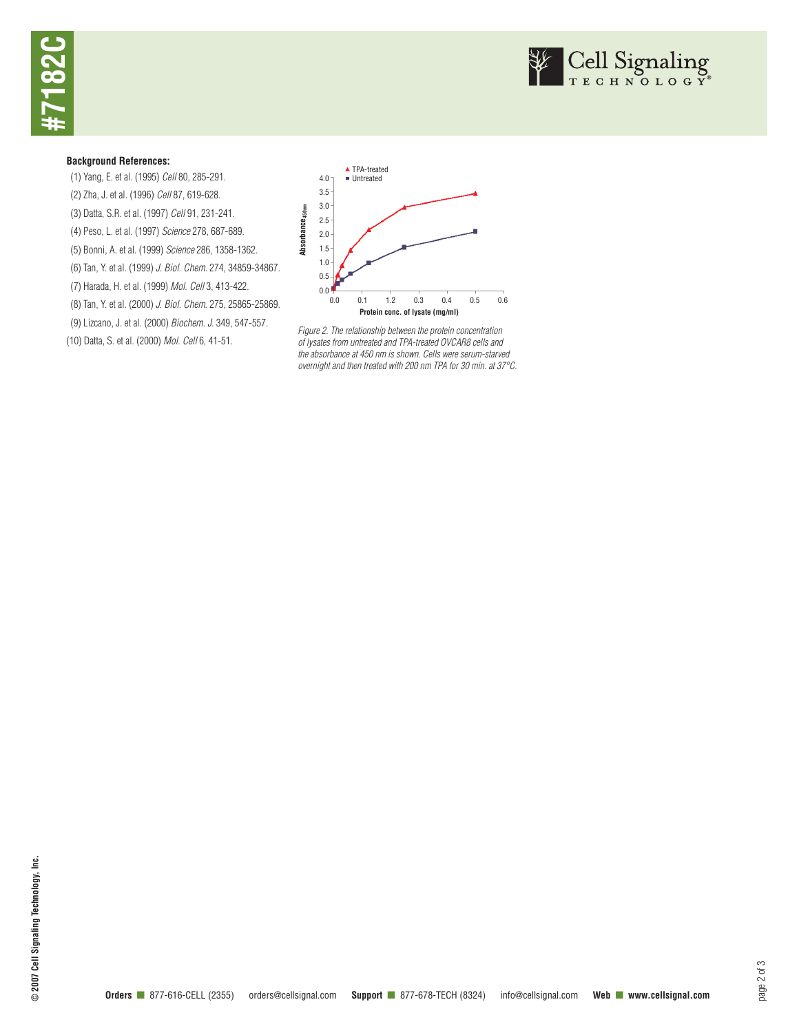



#### **Background References:**

(1) Yang, E. et al. (1995) *Cell* 80, 285-291. (2) Zha, J. et al. (1996) *Cell* 87, 619-628. (3) Datta, S.R. et al. (1997) *Cell* 91, 231-241. (4) Peso, L. et al. (1997) *Science* 278, 687-689. (5) Bonni, A. et al. (1999) *Science* 286, 1358-1362. (6) Tan, Y. et al. (1999) *J. Biol. Chem.* 274, 34859-34867. (7) Harada, H. et al. (1999) *Mol. Cell* 3, 413-422. (8) Tan, Y. et al. (2000) *J. Biol. Chem.* 275, 25865-25869. (9) Lizcano, J. et al. (2000) *Biochem. J.* 349, 547-557. (10) Datta, S. et al. (2000) *Mol. Cell* 6, 41-51.



*Figure 2. The relationship between the protein concentration of lysates from untreated and TPA-treated OVCAR8 cells and the absorbance at 450 nm is shown. Cells were serum-starved overnight and then treated with 200 nm TPA for 30 min. at 37°C.*